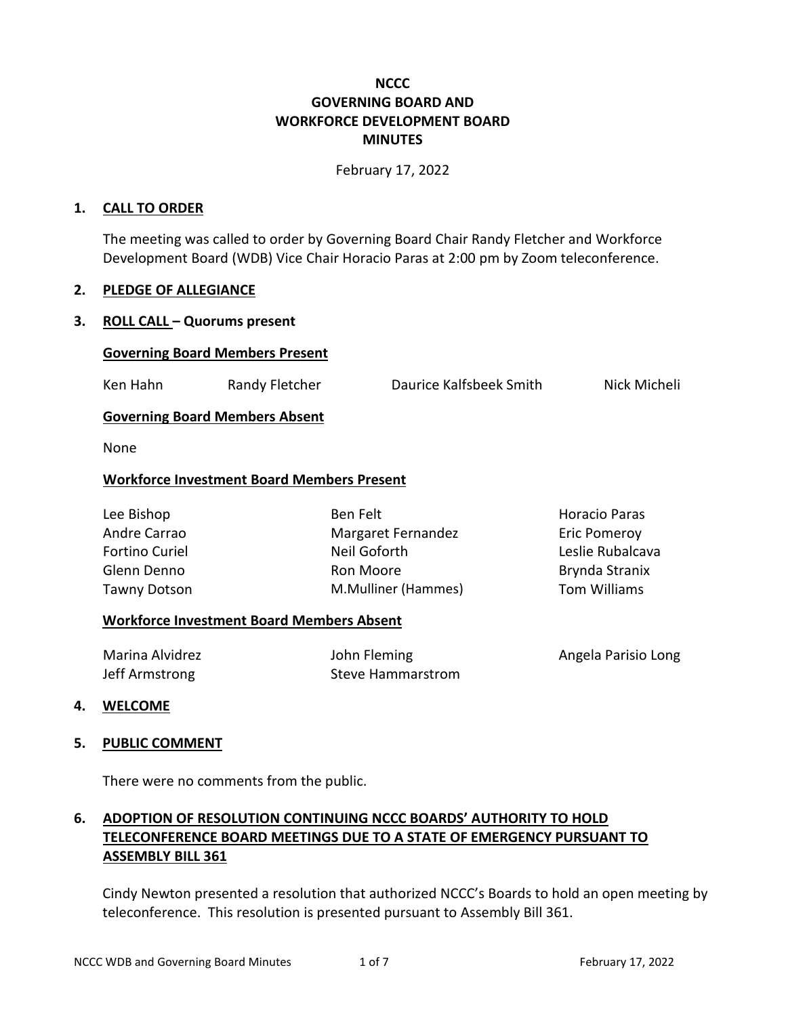## **NCCC GOVERNING BOARD AND WORKFORCE DEVELOPMENT BOARD MINUTES**

February 17, 2022

#### **1. CALL TO ORDER**

The meeting was called to order by Governing Board Chair Randy Fletcher and Workforce Development Board (WDB) Vice Chair Horacio Paras at 2:00 pm by Zoom teleconference.

#### **2. PLEDGE OF ALLEGIANCE**

### **3. ROLL CALL – Quorums present**

#### **Governing Board Members Present**

Ken Hahn **Randy Fletcher** Daurice Kalfsbeek Smith Nick Micheli

### **Governing Board Members Absent**

None

#### **Workforce Investment Board Members Present**

| Lee Bishop            |  |
|-----------------------|--|
| Andre Carrao          |  |
| <b>Fortino Curiel</b> |  |
| Glenn Denno           |  |
| <b>Tawny Dotson</b>   |  |

Ben Felt Margaret Fernandez Neil Goforth Ron Moore M.Mulliner (Hammes) Horacio Paras Eric Pomeroy Leslie Rubalcava Brynda Stranix Tom Williams

#### **Workforce Investment Board Members Absent**

| Marina Alvidrez | John Fleming      | Angela Parisio Long |
|-----------------|-------------------|---------------------|
| Jeff Armstrong  | Steve Hammarstrom |                     |

#### **4. WELCOME**

### **5. PUBLIC COMMENT**

There were no comments from the public.

# **6. ADOPTION OF RESOLUTION CONTINUING NCCC BOARDS' AUTHORITY TO HOLD TELECONFERENCE BOARD MEETINGS DUE TO A STATE OF EMERGENCY PURSUANT TO ASSEMBLY BILL 361**

Cindy Newton presented a resolution that authorized NCCC's Boards to hold an open meeting by teleconference. This resolution is presented pursuant to Assembly Bill 361.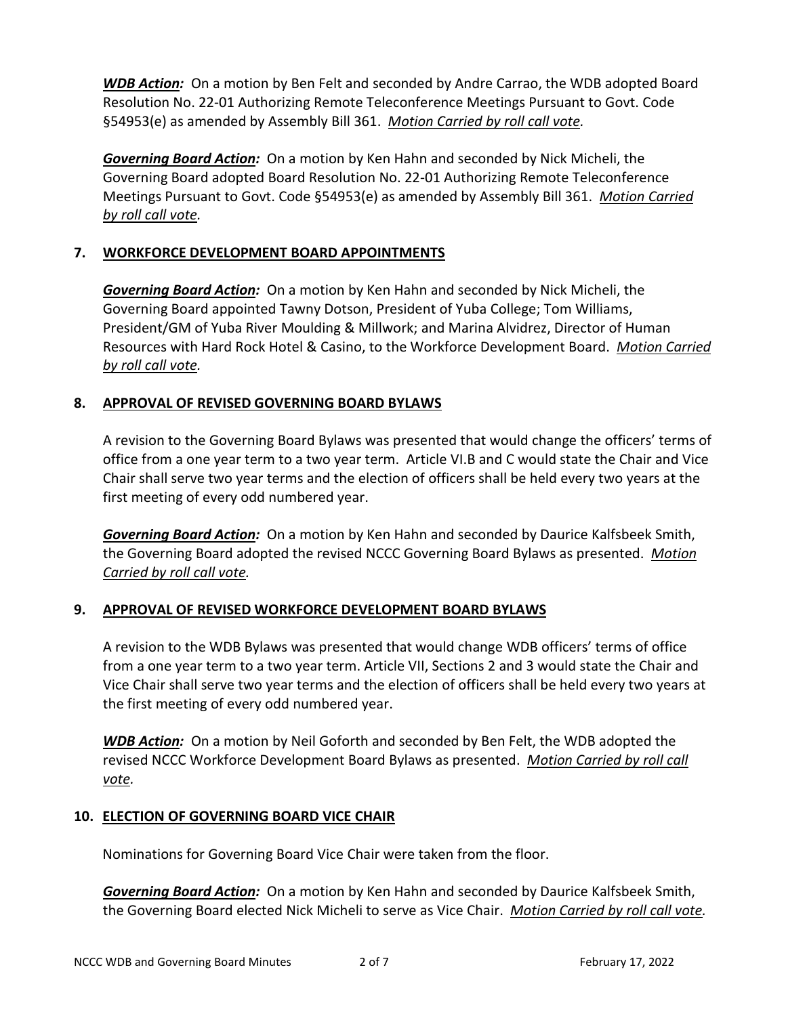*WDB Action:* On a motion by Ben Felt and seconded by Andre Carrao, the WDB adopted Board Resolution No. 22-01 Authorizing Remote Teleconference Meetings Pursuant to Govt. Code §54953(e) as amended by Assembly Bill 361. *Motion Carried by roll call vote.*

*Governing Board Action:* On a motion by Ken Hahn and seconded by Nick Micheli, the Governing Board adopted Board Resolution No. 22-01 Authorizing Remote Teleconference Meetings Pursuant to Govt. Code §54953(e) as amended by Assembly Bill 361. *Motion Carried by roll call vote.*

## **7. WORKFORCE DEVELOPMENT BOARD APPOINTMENTS**

*Governing Board Action:* On a motion by Ken Hahn and seconded by Nick Micheli, the Governing Board appointed Tawny Dotson, President of Yuba College; Tom Williams, President/GM of Yuba River Moulding & Millwork; and Marina Alvidrez, Director of Human Resources with Hard Rock Hotel & Casino, to the Workforce Development Board. *Motion Carried by roll call vote.*

### **8. APPROVAL OF REVISED GOVERNING BOARD BYLAWS**

A revision to the Governing Board Bylaws was presented that would change the officers' terms of office from a one year term to a two year term. Article VI.B and C would state the Chair and Vice Chair shall serve two year terms and the election of officers shall be held every two years at the first meeting of every odd numbered year.

*Governing Board Action:* On a motion by Ken Hahn and seconded by Daurice Kalfsbeek Smith, the Governing Board adopted the revised NCCC Governing Board Bylaws as presented. *Motion Carried by roll call vote.*

## **9. APPROVAL OF REVISED WORKFORCE DEVELOPMENT BOARD BYLAWS**

A revision to the WDB Bylaws was presented that would change WDB officers' terms of office from a one year term to a two year term. Article VII, Sections 2 and 3 would state the Chair and Vice Chair shall serve two year terms and the election of officers shall be held every two years at the first meeting of every odd numbered year.

*WDB Action:* On a motion by Neil Goforth and seconded by Ben Felt, the WDB adopted the revised NCCC Workforce Development Board Bylaws as presented. *Motion Carried by roll call vote.*

### **10. ELECTION OF GOVERNING BOARD VICE CHAIR**

Nominations for Governing Board Vice Chair were taken from the floor.

*Governing Board Action:* On a motion by Ken Hahn and seconded by Daurice Kalfsbeek Smith, the Governing Board elected Nick Micheli to serve as Vice Chair. *Motion Carried by roll call vote.*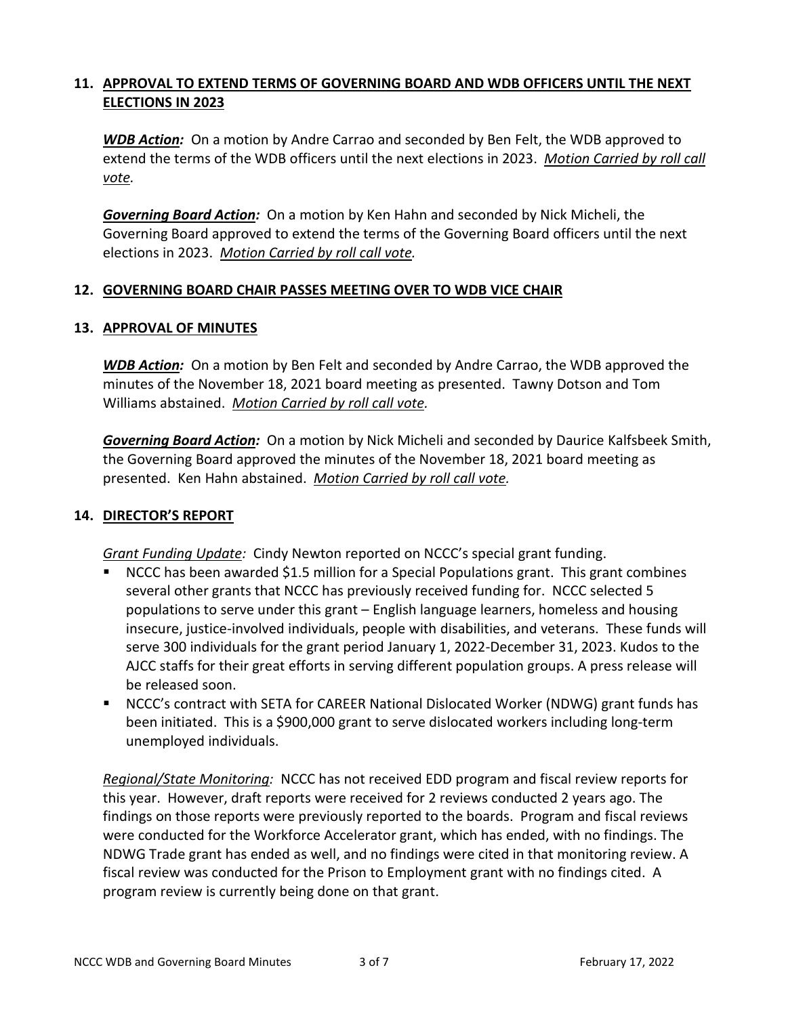## **11. APPROVAL TO EXTEND TERMS OF GOVERNING BOARD AND WDB OFFICERS UNTIL THE NEXT ELECTIONS IN 2023**

*WDB Action:* On a motion by Andre Carrao and seconded by Ben Felt, the WDB approved to extend the terms of the WDB officers until the next elections in 2023. *Motion Carried by roll call vote.*

*Governing Board Action:* On a motion by Ken Hahn and seconded by Nick Micheli, the Governing Board approved to extend the terms of the Governing Board officers until the next elections in 2023. *Motion Carried by roll call vote.*

### **12. GOVERNING BOARD CHAIR PASSES MEETING OVER TO WDB VICE CHAIR**

### **13. APPROVAL OF MINUTES**

*WDB Action:* On a motion by Ben Felt and seconded by Andre Carrao, the WDB approved the minutes of the November 18, 2021 board meeting as presented. Tawny Dotson and Tom Williams abstained. *Motion Carried by roll call vote.*

*Governing Board Action:* On a motion by Nick Micheli and seconded by Daurice Kalfsbeek Smith, the Governing Board approved the minutes of the November 18, 2021 board meeting as presented. Ken Hahn abstained. *Motion Carried by roll call vote.*

## **14. DIRECTOR'S REPORT**

*Grant Funding Update:* Cindy Newton reported on NCCC's special grant funding.

- NCCC has been awarded \$1.5 million for a Special Populations grant. This grant combines several other grants that NCCC has previously received funding for. NCCC selected 5 populations to serve under this grant – English language learners, homeless and housing insecure, justice-involved individuals, people with disabilities, and veterans. These funds will serve 300 individuals for the grant period January 1, 2022-December 31, 2023. Kudos to the AJCC staffs for their great efforts in serving different population groups. A press release will be released soon.
- NCCC's contract with SETA for CAREER National Dislocated Worker (NDWG) grant funds has been initiated. This is a \$900,000 grant to serve dislocated workers including long-term unemployed individuals.

*Regional/State Monitoring:* NCCC has not received EDD program and fiscal review reports for this year. However, draft reports were received for 2 reviews conducted 2 years ago. The findings on those reports were previously reported to the boards. Program and fiscal reviews were conducted for the Workforce Accelerator grant, which has ended, with no findings. The NDWG Trade grant has ended as well, and no findings were cited in that monitoring review. A fiscal review was conducted for the Prison to Employment grant with no findings cited. A program review is currently being done on that grant.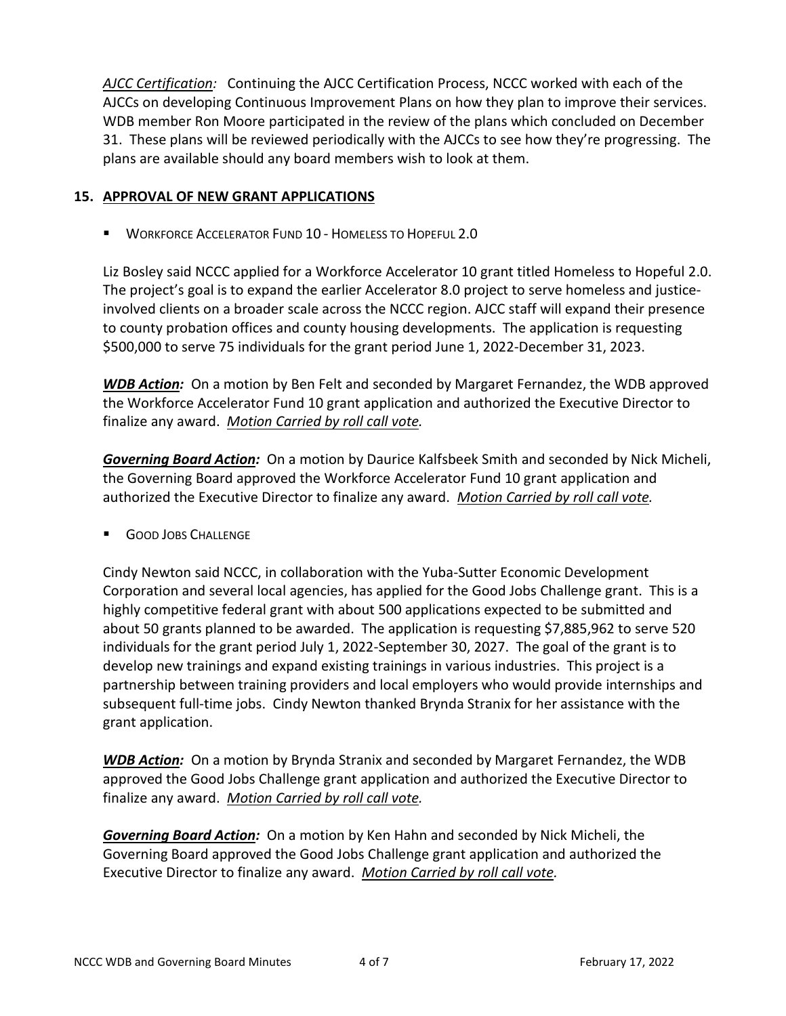*AJCC Certification:* Continuing the AJCC Certification Process, NCCC worked with each of the AJCCs on developing Continuous Improvement Plans on how they plan to improve their services. WDB member Ron Moore participated in the review of the plans which concluded on December 31. These plans will be reviewed periodically with the AJCCs to see how they're progressing. The plans are available should any board members wish to look at them.

## **15. APPROVAL OF NEW GRANT APPLICATIONS**

**WORKFORCE ACCELERATOR FUND 10 - HOMELESS TO HOPEFUL 2.0** 

Liz Bosley said NCCC applied for a Workforce Accelerator 10 grant titled Homeless to Hopeful 2.0. The project's goal is to expand the earlier Accelerator 8.0 project to serve homeless and justiceinvolved clients on a broader scale across the NCCC region. AJCC staff will expand their presence to county probation offices and county housing developments. The application is requesting \$500,000 to serve 75 individuals for the grant period June 1, 2022-December 31, 2023.

*WDB Action:* On a motion by Ben Felt and seconded by Margaret Fernandez, the WDB approved the Workforce Accelerator Fund 10 grant application and authorized the Executive Director to finalize any award. *Motion Carried by roll call vote.*

*Governing Board Action:* On a motion by Daurice Kalfsbeek Smith and seconded by Nick Micheli, the Governing Board approved the Workforce Accelerator Fund 10 grant application and authorized the Executive Director to finalize any award. *Motion Carried by roll call vote.*

**GOOD JOBS CHALLENGE** 

Cindy Newton said NCCC, in collaboration with the Yuba-Sutter Economic Development Corporation and several local agencies, has applied for the Good Jobs Challenge grant. This is a highly competitive federal grant with about 500 applications expected to be submitted and about 50 grants planned to be awarded. The application is requesting \$7,885,962 to serve 520 individuals for the grant period July 1, 2022-September 30, 2027. The goal of the grant is to develop new trainings and expand existing trainings in various industries. This project is a partnership between training providers and local employers who would provide internships and subsequent full-time jobs. Cindy Newton thanked Brynda Stranix for her assistance with the grant application.

*WDB Action:* On a motion by Brynda Stranix and seconded by Margaret Fernandez, the WDB approved the Good Jobs Challenge grant application and authorized the Executive Director to finalize any award. *Motion Carried by roll call vote.*

*Governing Board Action:* On a motion by Ken Hahn and seconded by Nick Micheli, the Governing Board approved the Good Jobs Challenge grant application and authorized the Executive Director to finalize any award. *Motion Carried by roll call vote.*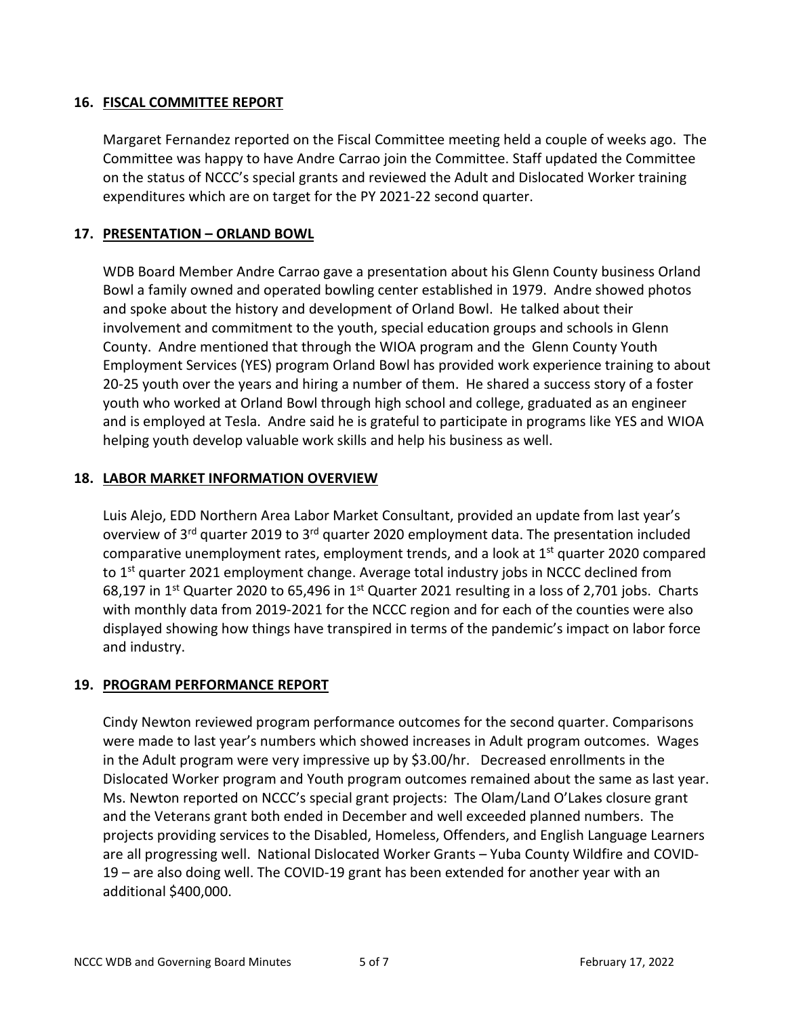## **16. FISCAL COMMITTEE REPORT**

Margaret Fernandez reported on the Fiscal Committee meeting held a couple of weeks ago. The Committee was happy to have Andre Carrao join the Committee. Staff updated the Committee on the status of NCCC's special grants and reviewed the Adult and Dislocated Worker training expenditures which are on target for the PY 2021-22 second quarter.

## **17. PRESENTATION – ORLAND BOWL**

WDB Board Member Andre Carrao gave a presentation about his Glenn County business Orland Bowl a family owned and operated bowling center established in 1979. Andre showed photos and spoke about the history and development of Orland Bowl. He talked about their involvement and commitment to the youth, special education groups and schools in Glenn County. Andre mentioned that through the WIOA program and the Glenn County Youth Employment Services (YES) program Orland Bowl has provided work experience training to about 20-25 youth over the years and hiring a number of them. He shared a success story of a foster youth who worked at Orland Bowl through high school and college, graduated as an engineer and is employed at Tesla. Andre said he is grateful to participate in programs like YES and WIOA helping youth develop valuable work skills and help his business as well.

## **18. LABOR MARKET INFORMATION OVERVIEW**

Luis Alejo, EDD Northern Area Labor Market Consultant, provided an update from last year's overview of 3<sup>rd</sup> quarter 2019 to 3<sup>rd</sup> quarter 2020 employment data. The presentation included comparative unemployment rates, employment trends, and a look at  $1<sup>st</sup>$  quarter 2020 compared to 1<sup>st</sup> quarter 2021 employment change. Average total industry jobs in NCCC declined from 68,197 in 1<sup>st</sup> Quarter 2020 to 65,496 in 1<sup>st</sup> Quarter 2021 resulting in a loss of 2,701 jobs. Charts with monthly data from 2019-2021 for the NCCC region and for each of the counties were also displayed showing how things have transpired in terms of the pandemic's impact on labor force and industry.

### **19. PROGRAM PERFORMANCE REPORT**

Cindy Newton reviewed program performance outcomes for the second quarter. Comparisons were made to last year's numbers which showed increases in Adult program outcomes. Wages in the Adult program were very impressive up by \$3.00/hr. Decreased enrollments in the Dislocated Worker program and Youth program outcomes remained about the same as last year. Ms. Newton reported on NCCC's special grant projects: The Olam/Land O'Lakes closure grant and the Veterans grant both ended in December and well exceeded planned numbers. The projects providing services to the Disabled, Homeless, Offenders, and English Language Learners are all progressing well. National Dislocated Worker Grants – Yuba County Wildfire and COVID-19 – are also doing well. The COVID-19 grant has been extended for another year with an additional \$400,000.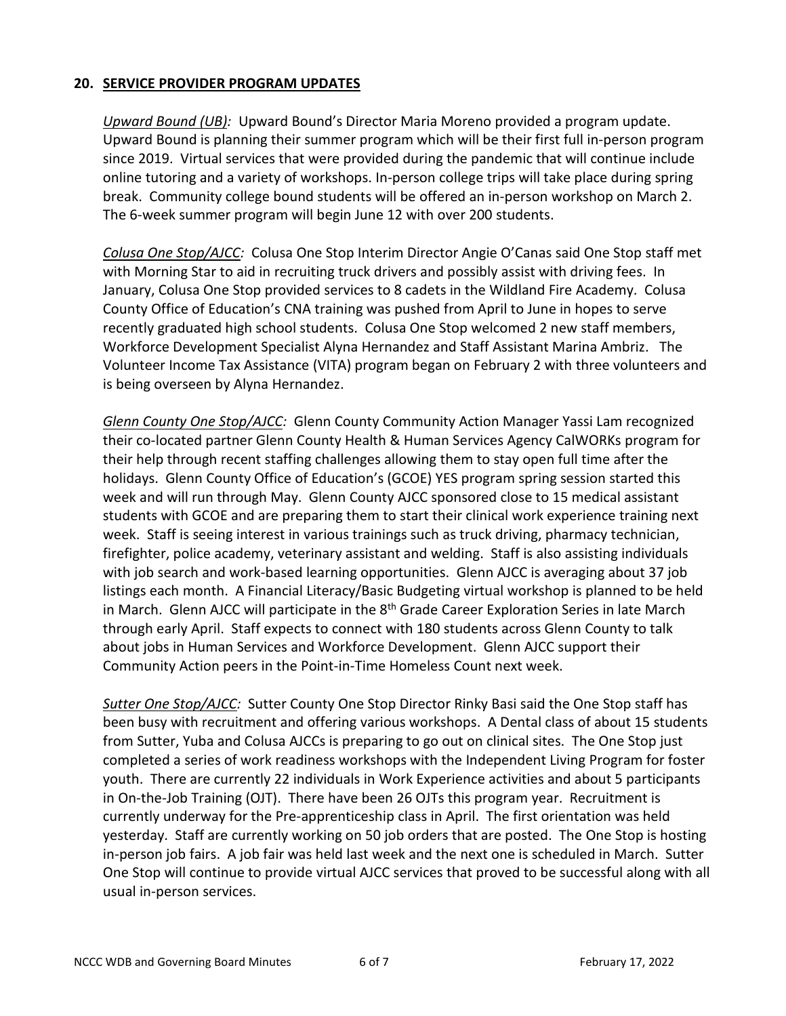## **20. SERVICE PROVIDER PROGRAM UPDATES**

*Upward Bound (UB):* Upward Bound's Director Maria Moreno provided a program update. Upward Bound is planning their summer program which will be their first full in-person program since 2019. Virtual services that were provided during the pandemic that will continue include online tutoring and a variety of workshops. In-person college trips will take place during spring break. Community college bound students will be offered an in-person workshop on March 2. The 6-week summer program will begin June 12 with over 200 students.

*Colusa One Stop/AJCC:* Colusa One Stop Interim Director Angie O'Canas said One Stop staff met with Morning Star to aid in recruiting truck drivers and possibly assist with driving fees. In January, Colusa One Stop provided services to 8 cadets in the Wildland Fire Academy. Colusa County Office of Education's CNA training was pushed from April to June in hopes to serve recently graduated high school students. Colusa One Stop welcomed 2 new staff members, Workforce Development Specialist Alyna Hernandez and Staff Assistant Marina Ambriz. The Volunteer Income Tax Assistance (VITA) program began on February 2 with three volunteers and is being overseen by Alyna Hernandez.

*Glenn County One Stop/AJCC:* Glenn County Community Action Manager Yassi Lam recognized their co-located partner Glenn County Health & Human Services Agency CalWORKs program for their help through recent staffing challenges allowing them to stay open full time after the holidays. Glenn County Office of Education's (GCOE) YES program spring session started this week and will run through May. Glenn County AJCC sponsored close to 15 medical assistant students with GCOE and are preparing them to start their clinical work experience training next week. Staff is seeing interest in various trainings such as truck driving, pharmacy technician, firefighter, police academy, veterinary assistant and welding. Staff is also assisting individuals with job search and work-based learning opportunities. Glenn AJCC is averaging about 37 job listings each month. A Financial Literacy/Basic Budgeting virtual workshop is planned to be held in March. Glenn AJCC will participate in the  $8<sup>th</sup>$  Grade Career Exploration Series in late March through early April. Staff expects to connect with 180 students across Glenn County to talk about jobs in Human Services and Workforce Development. Glenn AJCC support their Community Action peers in the Point-in-Time Homeless Count next week.

*Sutter One Stop/AJCC:* Sutter County One Stop Director Rinky Basi said the One Stop staff has been busy with recruitment and offering various workshops. A Dental class of about 15 students from Sutter, Yuba and Colusa AJCCs is preparing to go out on clinical sites. The One Stop just completed a series of work readiness workshops with the Independent Living Program for foster youth. There are currently 22 individuals in Work Experience activities and about 5 participants in On-the-Job Training (OJT). There have been 26 OJTs this program year. Recruitment is currently underway for the Pre-apprenticeship class in April. The first orientation was held yesterday. Staff are currently working on 50 job orders that are posted. The One Stop is hosting in-person job fairs. A job fair was held last week and the next one is scheduled in March. Sutter One Stop will continue to provide virtual AJCC services that proved to be successful along with all usual in-person services.